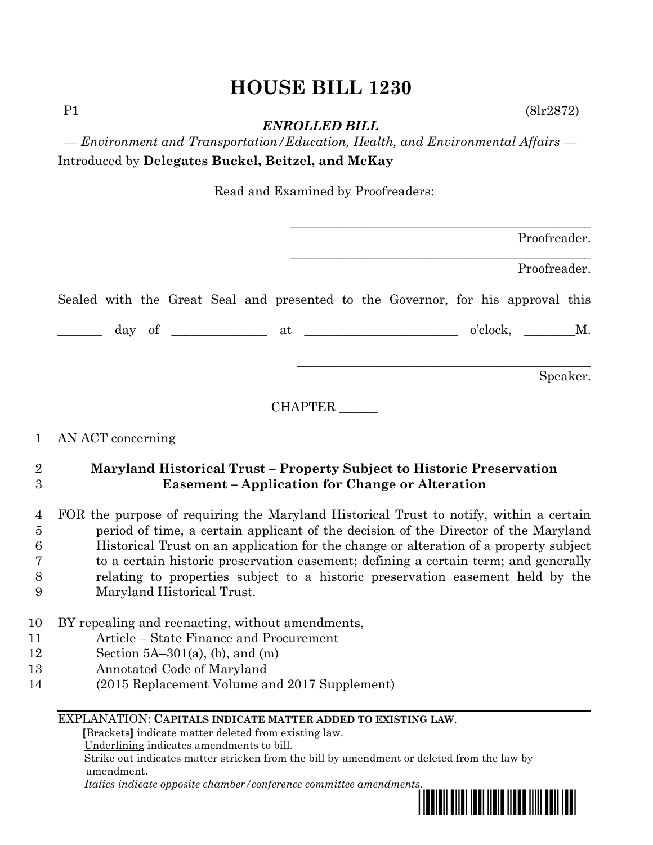# **HOUSE BILL 1230**

P1 (8lr2872)

*ENROLLED BILL*

*— Environment and Transportation/Education, Health, and Environmental Affairs —* Introduced by **Delegates Buckel, Beitzel, and McKay**

Read and Examined by Proofreaders:

| Proofreader.                                                                    |  |  |  |  |
|---------------------------------------------------------------------------------|--|--|--|--|
| Proofreader.                                                                    |  |  |  |  |
| Sealed with the Great Seal and presented to the Governor, for his approval this |  |  |  |  |
| $o'clock, \t M.$                                                                |  |  |  |  |
| Speaker.                                                                        |  |  |  |  |

CHAPTER \_\_\_\_\_\_

#### 1 AN ACT concerning

### 2 **Maryland Historical Trust – Property Subject to Historic Preservation**  3 **Easement – Application for Change or Alteration**

 FOR the purpose of requiring the Maryland Historical Trust to notify, within a certain period of time, a certain applicant of the decision of the Director of the Maryland Historical Trust on an application for the change or alteration of a property subject to a certain historic preservation easement; defining a certain term; and generally relating to properties subject to a historic preservation easement held by the

- 9 Maryland Historical Trust.
- 10 BY repealing and reenacting, without amendments,
- 11 Article State Finance and Procurement
- 12 Section 5A–301(a), (b), and (m)
- 13 Annotated Code of Maryland
- 14 (2015 Replacement Volume and 2017 Supplement)

#### EXPLANATION: **CAPITALS INDICATE MATTER ADDED TO EXISTING LAW**.

 **[**Brackets**]** indicate matter deleted from existing law.

Underlining indicates amendments to bill.

 Strike out indicates matter stricken from the bill by amendment or deleted from the law by amendment.

 *Italics indicate opposite chamber/conference committee amendments.*